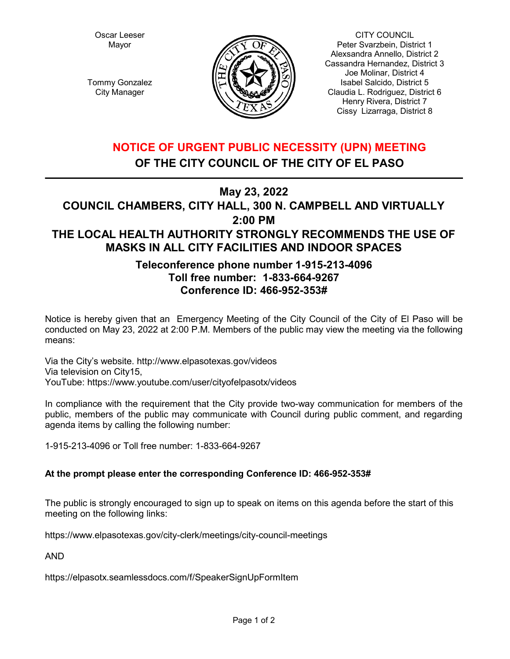Oscar Leeser Mayor

Tommy Gonzalez City Manager



CITY COUNCIL Peter Svarzbein, District 1 Alexsandra Annello, District 2 Cassandra Hernandez, District 3 Joe Molinar, District 4 Isabel Salcido, District 5 Claudia L. Rodriguez, District 6 Henry Rivera, District 7 Cissy Lizarraga, District 8

# **NOTICE OF URGENT PUBLIC NECESSITY (UPN) MEETING OF THE CITY COUNCIL OF THE CITY OF EL PASO**

**May 23, 2022**

# **COUNCIL CHAMBERS, CITY HALL, 300 N. CAMPBELL AND VIRTUALLY 2:00 PM THE LOCAL HEALTH AUTHORITY STRONGLY RECOMMENDS THE USE OF MASKS IN ALL CITY FACILITIES AND INDOOR SPACES**

## **Teleconference phone number 1-915-213-4096 Toll free number: 1-833-664-9267 Conference ID: 466-952-353#**

Notice is hereby given that an Emergency Meeting of the City Council of the City of El Paso will be conducted on May 23, 2022 at 2:00 P.M. Members of the public may view the meeting via the following means:

Via the City's website. http://www.elpasotexas.gov/videos Via television on City15, YouTube: https://www.youtube.com/user/cityofelpasotx/videos

In compliance with the requirement that the City provide two-way communication for members of the public, members of the public may communicate with Council during public comment, and regarding agenda items by calling the following number:

1-915-213-4096 or Toll free number: 1-833-664-9267

## **At the prompt please enter the corresponding Conference ID: 466-952-353#**

The public is strongly encouraged to sign up to speak on items on this agenda before the start of this meeting on the following links:

https://www.elpasotexas.gov/city-clerk/meetings/city-council-meetings

AND

https://elpasotx.seamlessdocs.com/f/SpeakerSignUpFormItem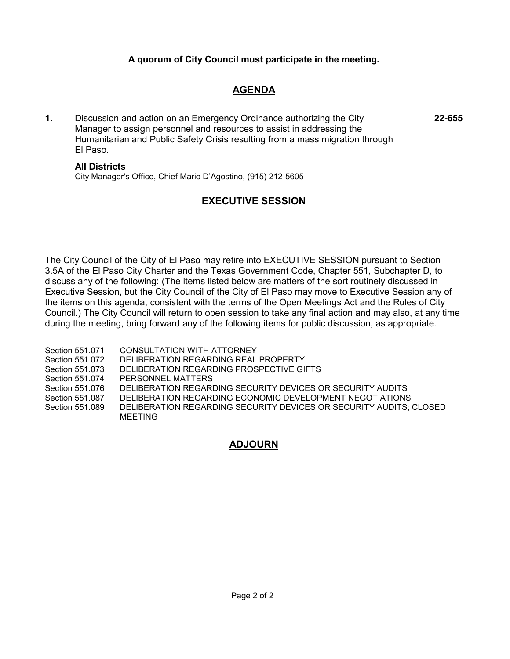## **A quorum of City Council must participate in the meeting.**

## **AGENDA**

**1.** Discussion and action on an Emergency Ordinance authorizing the City Manager to assign personnel and resources to assist in addressing the Humanitarian and Public Safety Crisis resulting from a mass migration through El Paso.

**All Districts**

MEETING

City Manager's Office, Chief Mario D'Agostino, (915) 212-5605

## **EXECUTIVE SESSION**

The City Council of the City of El Paso may retire into EXECUTIVE SESSION pursuant to Section 3.5A of the El Paso City Charter and the Texas Government Code, Chapter 551, Subchapter D, to discuss any of the following: (The items listed below are matters of the sort routinely discussed in Executive Session, but the City Council of the City of El Paso may move to Executive Session any of the items on this agenda, consistent with the terms of the Open Meetings Act and the Rules of City Council.) The City Council will return to open session to take any final action and may also, at any time during the meeting, bring forward any of the following items for public discussion, as appropriate.

Section 551.071 CONSULTATION WITH ATTORNEY Section 551.072 DELIBERATION REGARDING REAL PROPERTY Section 551.073 DELIBERATION REGARDING PROSPECTIVE GIFTS Section 551.074 PERSONNEL MATTERS Section 551.076 DELIBERATION REGARDING SECURITY DEVICES OR SECURITY AUDITS Section 551.087 DELIBERATION REGARDING ECONOMIC DEVELOPMENT NEGOTIATIONS Section 551.089 DELIBERATION REGARDING SECURITY DEVICES OR SECURITY AUDITS; CLOSED

## **ADJOURN**

**22-655**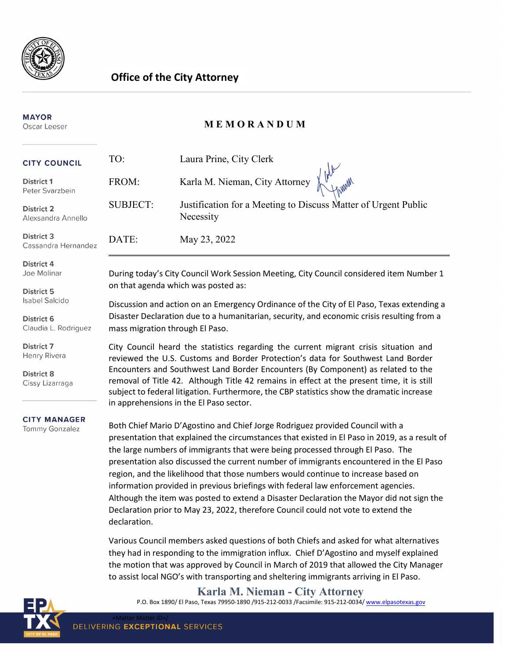

## **Office of the City Attorney**

#### **MAYOR** Oscar Leeser

## **M E M O R A N D U M**

| <b>CITY COUNCIL</b>                                                                     | TO:                                                                                                                                                                                                                                                                                                                                                          | Laura Prine, City Clerk                                                     |
|-----------------------------------------------------------------------------------------|--------------------------------------------------------------------------------------------------------------------------------------------------------------------------------------------------------------------------------------------------------------------------------------------------------------------------------------------------------------|-----------------------------------------------------------------------------|
| <b>District 1</b><br>Peter Svarzbein                                                    | FROM:                                                                                                                                                                                                                                                                                                                                                        | Karla M. Nieman, City Attorney                                              |
| <b>District 2</b><br>Alexsandra Annello                                                 | <b>SUBJECT:</b>                                                                                                                                                                                                                                                                                                                                              | Justification for a Meeting to Discuss Matter of Urgent Public<br>Necessity |
| <b>District 3</b><br>Cassandra Hernandez                                                | DATE:                                                                                                                                                                                                                                                                                                                                                        | May 23, 2022                                                                |
| <b>District 4</b><br>Joe Molinar                                                        | During today's City Council Work Session Meeting, City Council considered item Number 1<br>on that agenda which was posted as:<br>Discussion and action on an Emergency Ordinance of the City of El Paso, Texas extending a<br>Disaster Declaration due to a humanitarian, security, and economic crisis resulting from a<br>mass migration through El Paso. |                                                                             |
| <b>District 5</b><br><b>Isabel Salcido</b><br><b>District 6</b><br>Claudia L. Rodriguez |                                                                                                                                                                                                                                                                                                                                                              |                                                                             |
| <b>District 7</b><br>Henry Rivera                                                       | City Council heard the statistics regarding the current migrant crisis situation and<br>reviewed the U.S. Customs and Border Protection's data for Southwest Land Border                                                                                                                                                                                     |                                                                             |
| <b>District 8</b><br>Cissy Lizarraga                                                    | Encounters and Southwest Land Border Encounters (By Component) as related to the<br>removal of Title 42. Although Title 42 remains in effect at the present time, it is still<br>subject to federal litigation. Furthermore, the CBP statistics show the dramatic increase<br>in apprehensions in the El Paso sector.                                        |                                                                             |
| <b>CITY MANAGER</b><br>Tommy Gonzalez                                                   | Both Chief Mario D'Agostino and Chief Jorge Rodriguez provided Council with a<br>presentation that explained the circumstances that existed in El Paso in 2019, as a result of<br>the large numbers of immigrants that were being processed through El Paso. The<br>presentation also discussed the current number of immigrants encountered in the El Paso  |                                                                             |

presentation also discussed the current number of immigrants encountered in the El Paso region, and the likelihood that those numbers would continue to increase based on information provided in previous briefings with federal law enforcement agencies. Although the item was posted to extend a Disaster Declaration the Mayor did not sign the Declaration prior to May 23, 2022, therefore Council could not vote to extend the declaration.

Various Council members asked questions of both Chiefs and asked for what alternatives they had in responding to the immigration influx. Chief D'Agostino and myself explained the motion that was approved by Council in March of 2019 that allowed the City Manager to assist local NGO's with transporting and sheltering immigrants arriving in El Paso.

**Karla M. Nieman - City Attorney**

P.O. Box 1890/ El Paso, Texas 79950-1890 /915-212-0033 / Facsimile: 915-212-0034[/ www.elpasotexas.gov](http://www.elpasotexas.gov/)

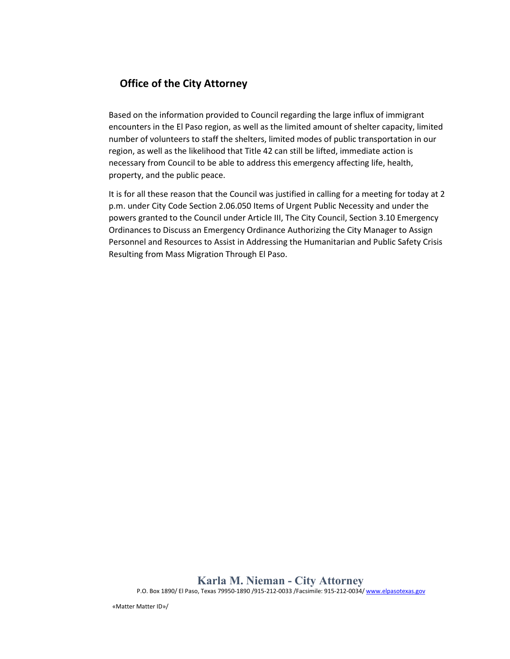## **Office of the City Attorney**

Based on the information provided to Council regarding the large influx of immigrant encounters in the El Paso region, as well as the limited amount of shelter capacity, limited number of volunteers to staff the shelters, limited modes of public transportation in our region, as well as the likelihood that Title 42 can still be lifted, immediate action is necessary from Council to be able to address this emergency affecting life, health, property, and the public peace.

It is for all these reason that the Council was justified in calling for a meeting for today at 2 p.m. under City Code Section 2.06.050 Items of Urgent Public Necessity and under the powers granted to the Council under Article III, The City Council, Section 3.10 Emergency Ordinances to Discuss an Emergency Ordinance Authorizing the City Manager to Assign Personnel and Resources to Assist in Addressing the Humanitarian and Public Safety Crisis Resulting from Mass Migration Through El Paso.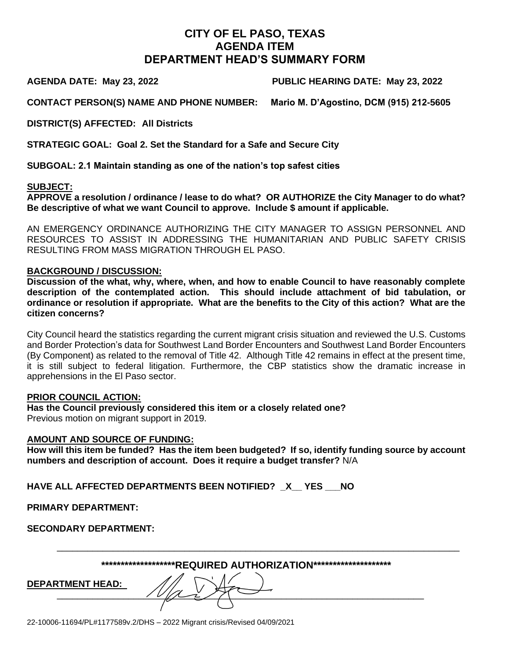## **CITY OF EL PASO, TEXAS AGENDA ITEM DEPARTMENT HEAD'S SUMMARY FORM**

**AGENDA DATE: May 23, 2022 PUBLIC HEARING DATE: May 23, 2022**

**CONTACT PERSON(S) NAME AND PHONE NUMBER: Mario M. D'Agostino, DCM (915) 212-5605**

**DISTRICT(S) AFFECTED: All Districts** 

**STRATEGIC GOAL: Goal 2. Set the Standard for a Safe and Secure City** 

**SUBGOAL: 2.1 Maintain standing as one of the nation's top safest cities**

#### **SUBJECT:**

**APPROVE a resolution / ordinance / lease to do what? OR AUTHORIZE the City Manager to do what? Be descriptive of what we want Council to approve. Include \$ amount if applicable.**

AN EMERGENCY ORDINANCE AUTHORIZING THE CITY MANAGER TO ASSIGN PERSONNEL AND RESOURCES TO ASSIST IN ADDRESSING THE HUMANITARIAN AND PUBLIC SAFETY CRISIS RESULTING FROM MASS MIGRATION THROUGH EL PASO.

#### **BACKGROUND / DISCUSSION:**

**Discussion of the what, why, where, when, and how to enable Council to have reasonably complete description of the contemplated action. This should include attachment of bid tabulation, or ordinance or resolution if appropriate. What are the benefits to the City of this action? What are the citizen concerns?**

City Council heard the statistics regarding the current migrant crisis situation and reviewed the U.S. Customs and Border Protection's data for Southwest Land Border Encounters and Southwest Land Border Encounters (By Component) as related to the removal of Title 42. Although Title 42 remains in effect at the present time, it is still subject to federal litigation. Furthermore, the CBP statistics show the dramatic increase in apprehensions in the El Paso sector.

### **PRIOR COUNCIL ACTION:**

**Has the Council previously considered this item or a closely related one?** Previous motion on migrant support in 2019.

### **AMOUNT AND SOURCE OF FUNDING:**

**How will this item be funded? Has the item been budgeted? If so, identify funding source by account numbers and description of account. Does it require a budget transfer?** N/A

**HAVE ALL AFFECTED DEPARTMENTS BEEN NOTIFIED? \_X\_\_ YES \_\_\_NO** 

**PRIMARY DEPARTMENT:** 

**SECONDARY DEPARTMENT:** 

| *******************REQUIRED                                 AUTHORIZATION******************** |  |
|-----------------------------------------------------------------------------------------------|--|
|-----------------------------------------------------------------------------------------------|--|

 $\frac{10}{2}$ 

\_\_\_\_\_\_\_\_\_\_\_\_\_\_\_\_\_\_\_\_\_\_\_\_\_\_\_\_\_\_\_\_\_\_\_\_\_\_\_\_\_\_\_\_\_\_\_\_\_\_\_\_\_\_\_\_\_\_\_\_\_\_\_\_\_\_\_\_\_\_\_\_\_\_\_\_\_\_\_

**DEPARTMENT HEAD:**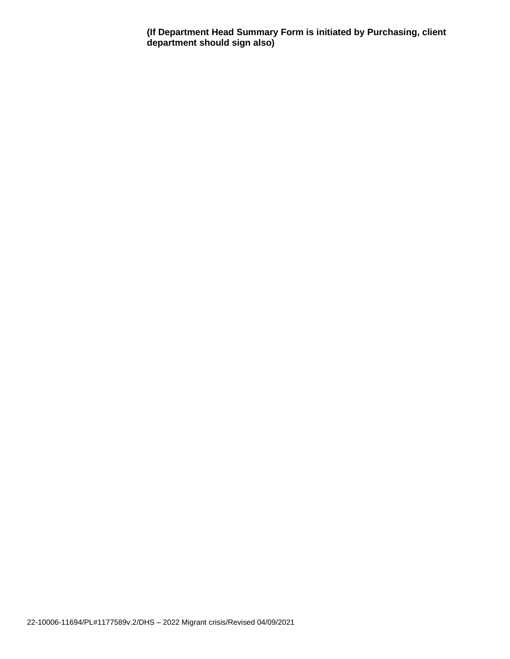**(If Department Head Summary Form is initiated by Purchasing, client department should sign also)**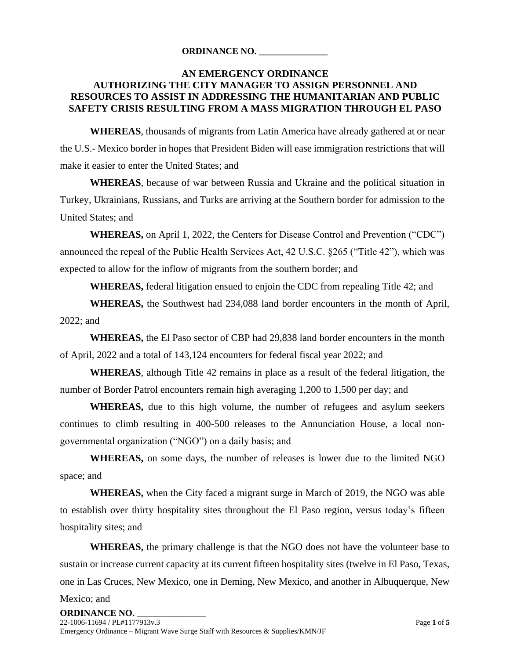#### **ORDINANCE NO. \_\_\_\_\_\_\_\_\_\_\_\_\_\_\_**

### **AN EMERGENCY ORDINANCE AUTHORIZING THE CITY MANAGER TO ASSIGN PERSONNEL AND RESOURCES TO ASSIST IN ADDRESSING THE HUMANITARIAN AND PUBLIC SAFETY CRISIS RESULTING FROM A MASS MIGRATION THROUGH EL PASO**

**WHEREAS**, thousands of migrants from Latin America have already gathered at or near the U.S.- Mexico border in hopes that President Biden will ease immigration restrictions that will make it easier to enter the United States; and

**WHEREAS**, because of war between Russia and Ukraine and the political situation in Turkey, Ukrainians, Russians, and Turks are arriving at the Southern border for admission to the United States; and

**WHEREAS,** on April 1, 2022, the Centers for Disease Control and Prevention ("CDC") announced the repeal of the Public Health Services Act, 42 U.S.C. §265 ("Title 42"), which was expected to allow for the inflow of migrants from the southern border; and

**WHEREAS,** federal litigation ensued to enjoin the CDC from repealing Title 42; and

**WHEREAS,** the Southwest had 234,088 land border encounters in the month of April, 2022; and

**WHEREAS,** the El Paso sector of CBP had 29,838 land border encounters in the month of April, 2022 and a total of 143,124 encounters for federal fiscal year 2022; and

**WHEREAS**, although Title 42 remains in place as a result of the federal litigation, the number of Border Patrol encounters remain high averaging 1,200 to 1,500 per day; and

**WHEREAS,** due to this high volume, the number of refugees and asylum seekers continues to climb resulting in 400-500 releases to the Annunciation House, a local nongovernmental organization ("NGO") on a daily basis; and

**WHEREAS,** on some days, the number of releases is lower due to the limited NGO space; and

**WHEREAS,** when the City faced a migrant surge in March of 2019, the NGO was able to establish over thirty hospitality sites throughout the El Paso region, versus today's fifteen hospitality sites; and

**WHEREAS,** the primary challenge is that the NGO does not have the volunteer base to sustain or increase current capacity at its current fifteen hospitality sites (twelve in El Paso, Texas, one in Las Cruces, New Mexico, one in Deming, New Mexico, and another in Albuquerque, New

Mexico; and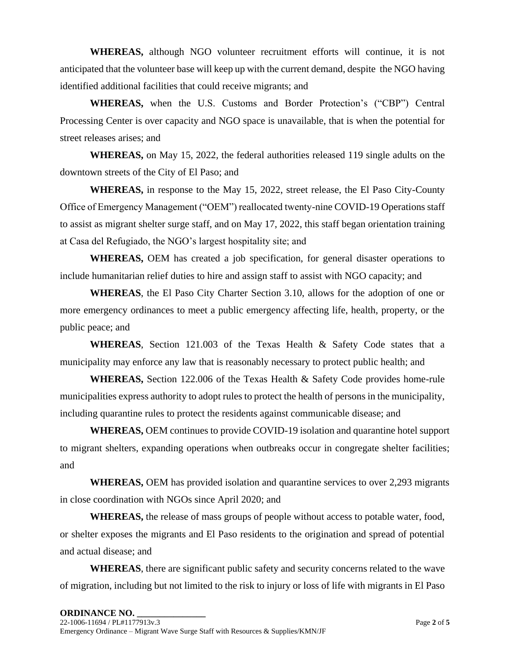**WHEREAS,** although NGO volunteer recruitment efforts will continue, it is not anticipated that the volunteer base will keep up with the current demand, despite the NGO having identified additional facilities that could receive migrants; and

**WHEREAS,** when the U.S. Customs and Border Protection's ("CBP") Central Processing Center is over capacity and NGO space is unavailable, that is when the potential for street releases arises; and

**WHEREAS,** on May 15, 2022, the federal authorities released 119 single adults on the downtown streets of the City of El Paso; and

**WHEREAS,** in response to the May 15, 2022, street release, the El Paso City-County Office of Emergency Management ("OEM") reallocated twenty-nine COVID-19 Operations staff to assist as migrant shelter surge staff, and on May 17, 2022, this staff began orientation training at Casa del Refugiado, the NGO's largest hospitality site; and

**WHEREAS,** OEM has created a job specification, for general disaster operations to include humanitarian relief duties to hire and assign staff to assist with NGO capacity; and

**WHEREAS**, the El Paso City Charter Section 3.10, allows for the adoption of one or more emergency ordinances to meet a public emergency affecting life, health, property, or the public peace; and

**WHEREAS**, Section 121.003 of the Texas Health & Safety Code states that a municipality may enforce any law that is reasonably necessary to protect public health; and

**WHEREAS,** Section 122.006 of the Texas Health & Safety Code provides home-rule municipalities express authority to adopt rules to protect the health of persons in the municipality, including quarantine rules to protect the residents against communicable disease; and

**WHEREAS,** OEM continues to provide COVID-19 isolation and quarantine hotel support to migrant shelters, expanding operations when outbreaks occur in congregate shelter facilities; and

**WHEREAS,** OEM has provided isolation and quarantine services to over 2,293 migrants in close coordination with NGOs since April 2020; and

**WHEREAS,** the release of mass groups of people without access to potable water, food, or shelter exposes the migrants and El Paso residents to the origination and spread of potential and actual disease; and

**WHEREAS**, there are significant public safety and security concerns related to the wave of migration, including but not limited to the risk to injury or loss of life with migrants in El Paso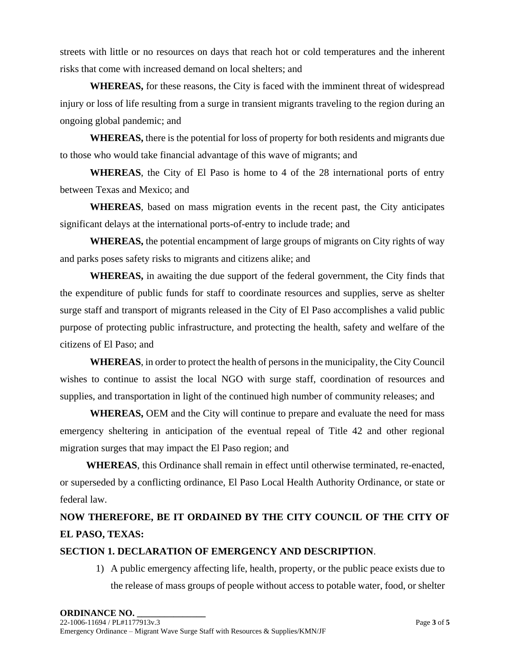streets with little or no resources on days that reach hot or cold temperatures and the inherent risks that come with increased demand on local shelters; and

**WHEREAS,** for these reasons, the City is faced with the imminent threat of widespread injury or loss of life resulting from a surge in transient migrants traveling to the region during an ongoing global pandemic; and

**WHEREAS,** there is the potential for loss of property for both residents and migrants due to those who would take financial advantage of this wave of migrants; and

**WHEREAS**, the City of El Paso is home to 4 of the 28 international ports of entry between Texas and Mexico; and

**WHEREAS**, based on mass migration events in the recent past, the City anticipates significant delays at the international ports-of-entry to include trade; and

**WHEREAS,** the potential encampment of large groups of migrants on City rights of way and parks poses safety risks to migrants and citizens alike; and

**WHEREAS,** in awaiting the due support of the federal government, the City finds that the expenditure of public funds for staff to coordinate resources and supplies, serve as shelter surge staff and transport of migrants released in the City of El Paso accomplishes a valid public purpose of protecting public infrastructure, and protecting the health, safety and welfare of the citizens of El Paso; and

**WHEREAS**, in order to protect the health of persons in the municipality, the City Council wishes to continue to assist the local NGO with surge staff, coordination of resources and supplies, and transportation in light of the continued high number of community releases; and

**WHEREAS,** OEM and the City will continue to prepare and evaluate the need for mass emergency sheltering in anticipation of the eventual repeal of Title 42 and other regional migration surges that may impact the El Paso region; and

**WHEREAS**, this Ordinance shall remain in effect until otherwise terminated, re-enacted, or superseded by a conflicting ordinance, El Paso Local Health Authority Ordinance, or state or federal law.

# **NOW THEREFORE, BE IT ORDAINED BY THE CITY COUNCIL OF THE CITY OF EL PASO, TEXAS:**

## **SECTION 1. DECLARATION OF EMERGENCY AND DESCRIPTION**.

1) A public emergency affecting life, health, property, or the public peace exists due to the release of mass groups of people without access to potable water, food, or shelter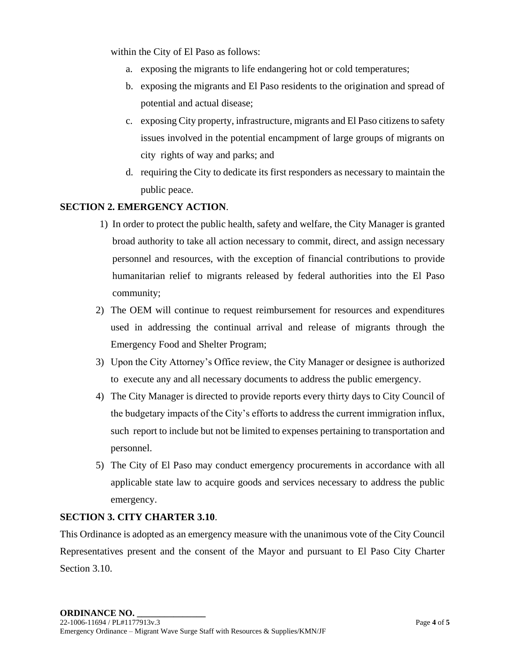within the City of El Paso as follows:

- a. exposing the migrants to life endangering hot or cold temperatures;
- b. exposing the migrants and El Paso residents to the origination and spread of potential and actual disease;
- c. exposing City property, infrastructure, migrants and El Paso citizens to safety issues involved in the potential encampment of large groups of migrants on city rights of way and parks; and
- d. requiring the City to dedicate its first responders as necessary to maintain the public peace.

## **SECTION 2. EMERGENCY ACTION**.

- 1) In order to protect the public health, safety and welfare, the City Manager is granted broad authority to take all action necessary to commit, direct, and assign necessary personnel and resources, with the exception of financial contributions to provide humanitarian relief to migrants released by federal authorities into the El Paso community;
- 2) The OEM will continue to request reimbursement for resources and expenditures used in addressing the continual arrival and release of migrants through the Emergency Food and Shelter Program;
- 3) Upon the City Attorney's Office review, the City Manager or designee is authorized to execute any and all necessary documents to address the public emergency.
- 4) The City Manager is directed to provide reports every thirty days to City Council of the budgetary impacts of the City's efforts to address the current immigration influx, such report to include but not be limited to expenses pertaining to transportation and personnel.
- 5) The City of El Paso may conduct emergency procurements in accordance with all applicable state law to acquire goods and services necessary to address the public emergency.

### **SECTION 3. CITY CHARTER 3.10**.

This Ordinance is adopted as an emergency measure with the unanimous vote of the City Council Representatives present and the consent of the Mayor and pursuant to El Paso City Charter Section 3.10.